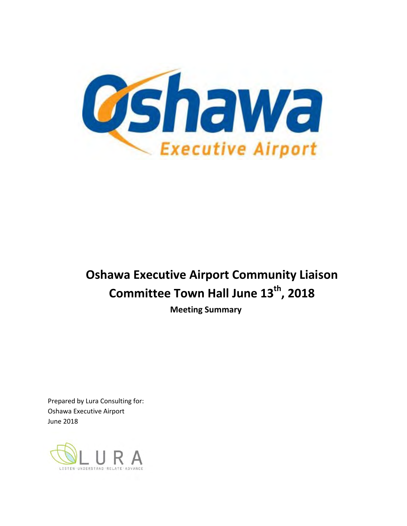

# **Oshawa Executive Airport Community Liaison Committee Town Hall June 13th , 2018**

**Meeting Summary**

Prepared by Lura Consulting for: Oshawa Executive Airport June 2018

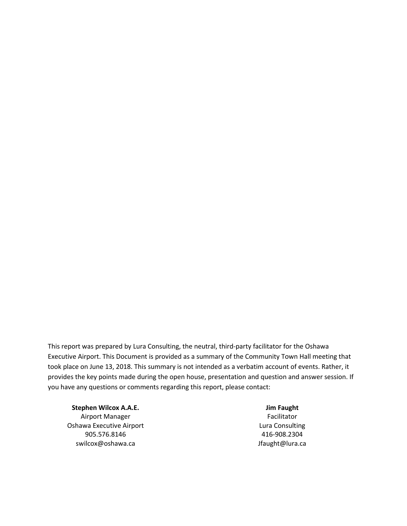This report was prepared by Lura Consulting, the neutral, third-party facilitator for the Oshawa Executive Airport. This Document is provided as a summary of the Community Town Hall meeting that took place on June 13, 2018. This summary is not intended as a verbatim account of events. Rather, it provides the key points made during the open house, presentation and question and answer session. If you have any questions or comments regarding this report, please contact:

**Stephen Wilcox A.A.E. Jim Faught** Airport Manager **Facilitator** Facilitator Oshawa Executive Airport **Lura Consulting** Consulting 905.576.8146 416-908.2304 swilcox@oshawa.ca decomposition of the switcox@oshawa.ca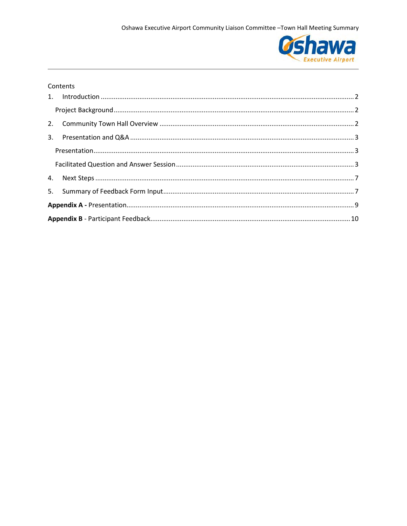

#### Contents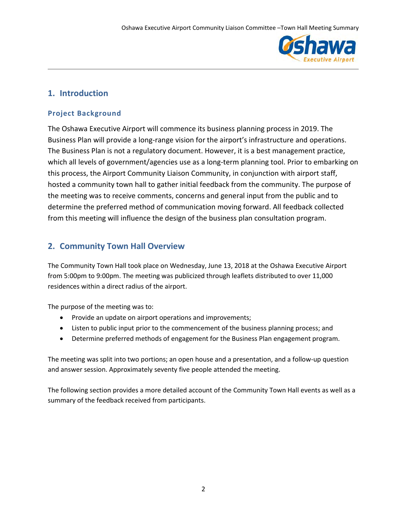

## <span id="page-3-0"></span>**1. Introduction**

## <span id="page-3-1"></span>**Project Background**

The Oshawa Executive Airport will commence its business planning process in 2019. The Business Plan will provide a long-range vision for the airport's infrastructure and operations. The Business Plan is not a regulatory document. However, it is a best management practice, which all levels of government/agencies use as a long-term planning tool. Prior to embarking on this process, the Airport Community Liaison Community, in conjunction with airport staff, hosted a community town hall to gather initial feedback from the community. The purpose of the meeting was to receive comments, concerns and general input from the public and to determine the preferred method of communication moving forward. All feedback collected from this meeting will influence the design of the business plan consultation program.

## <span id="page-3-2"></span>**2. Community Town Hall Overview**

The Community Town Hall took place on Wednesday, June 13, 2018 at the Oshawa Executive Airport from 5:00pm to 9:00pm. The meeting was publicized through leaflets distributed to over 11,000 residences within a direct radius of the airport.

The purpose of the meeting was to:

- Provide an update on airport operations and improvements;
- Listen to public input prior to the commencement of the business planning process; and
- Determine preferred methods of engagement for the Business Plan engagement program.

The meeting was split into two portions; an open house and a presentation, and a follow-up question and answer session. Approximately seventy five people attended the meeting.

The following section provides a more detailed account of the Community Town Hall events as well as a summary of the feedback received from participants.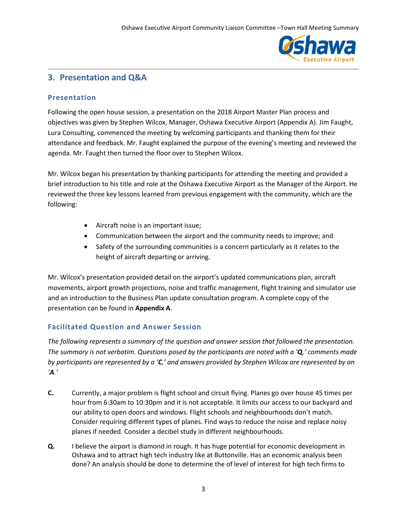

## <span id="page-4-0"></span>**3. Presentation and Q&A**

## <span id="page-4-1"></span>**Presentation**

Following the open house session, a presentation on the 2018 Airport Master Plan process and objectives was given by Stephen Wilcox, Manager, Oshawa Executive Airport (Appendix A). Jim Faught, Lura Consulting, commenced the meeting by welcoming participants and thanking them for their attendance and feedback. Mr. Faught explained the purpose of the evening's meeting and reviewed the agenda. Mr. Faught then turned the floor over to Stephen Wilcox.

Mr. Wilcox began his presentation by thanking participants for attending the meeting and provided a brief introduction to his title and role at the Oshawa Executive Airport as the Manager of the Airport. He reviewed the three key lessons learned from previous engagement with the community, which are the following:

- Aircraft noise is an important issue;
- Communication between the airport and the community needs to improve; and
- Safety of the surrounding communities is a concern particularly as it relates to the height of aircraft departing or arriving.

Mr. Wilcox's presentation provided detail on the airport's updated communications plan, aircraft movements, airport growth projections, noise and traffic management, flight training and simulator use and an introduction to the Business Plan update consultation program. A complete copy of the presentation can be found in **Appendix A**.

## <span id="page-4-2"></span>**Facilitated Question and Answer Session**

*The following represents a summary of the question and answer session that followed the presentation. The summary is not verbatim. Questions posed by the participants are noted with a 'Q,' comments made by participants are represented by a 'C,' and answers provided by Stephen Wilcox are represented by an 'A.'*

- **C.** Currently, a major problem is flight school and circuit flying. Planes go over house 45 times per hour from 6:30am to 10:30pm and it is not acceptable. It limits our access to our backyard and our ability to open doors and windows. Flight schools and neighbourhoods don't match. Consider requiring different types of planes. Find ways to reduce the noise and replace noisy planes if needed. Consider a decibel study in different neighbourhoods.
- **Q.** I believe the airport is diamond in rough. It has huge potential for economic development in Oshawa and to attract high tech industry like at Buttonville. Has an economic analysis been done? An analysis should be done to determine the of level of interest for high tech firms to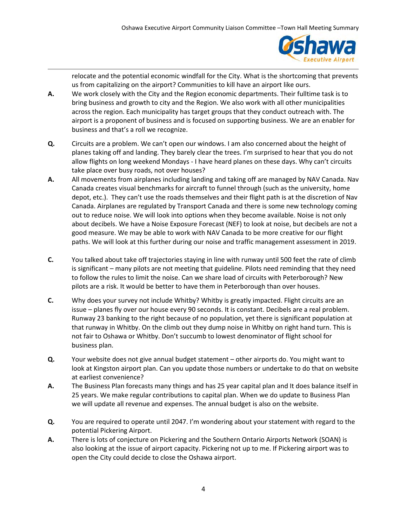

relocate and the potential economic windfall for the City. What is the shortcoming that prevents us from capitalizing on the airport? Communities to kill have an airport like ours.

- **A.** We work closely with the City and the Region economic departments. Their fulltime task is to bring business and growth to city and the Region. We also work with all other municipalities across the region. Each municipality has target groups that they conduct outreach with. The airport is a proponent of business and is focused on supporting business. We are an enabler for business and that's a roll we recognize.
- **Q.** Circuits are a problem. We can't open our windows. I am also concerned about the height of planes taking off and landing. They barely clear the trees. I'm surprised to hear that you do not allow flights on long weekend Mondays - I have heard planes on these days. Why can't circuits take place over busy roads, not over houses?
- **A.** All movements from airplanes including landing and taking off are managed by NAV Canada. Nav Canada creates visual benchmarks for aircraft to funnel through (such as the university, home depot, etc.). They can't use the roads themselves and their flight path is at the discretion of Nav Canada. Airplanes are regulated by Transport Canada and there is some new technology coming out to reduce noise. We will look into options when they become available. Noise is not only about decibels. We have a Noise Exposure Forecast (NEF) to look at noise, but decibels are not a good measure. We may be able to work with NAV Canada to be more creative for our flight paths. We will look at this further during our noise and traffic management assessment in 2019.
- **C.** You talked about take off trajectories staying in line with runway until 500 feet the rate of climb is significant – many pilots are not meeting that guideline. Pilots need reminding that they need to follow the rules to limit the noise. Can we share load of circuits with Peterborough? New pilots are a risk. It would be better to have them in Peterborough than over houses.
- **C.** Why does your survey not include Whitby? Whitby is greatly impacted. Flight circuits are an issue – planes fly over our house every 90 seconds. It is constant. Decibels are a real problem. Runway 23 banking to the right because of no population, yet there is significant population at that runway in Whitby. On the climb out they dump noise in Whitby on right hand turn. This is not fair to Oshawa or Whitby. Don't succumb to lowest denominator of flight school for business plan.
- **Q.** Your website does not give annual budget statement other airports do. You might want to look at Kingston airport plan. Can you update those numbers or undertake to do that on website at earliest convenience?
- **A.** The Business Plan forecasts many things and has 25 year capital plan and It does balance itself in 25 years. We make regular contributions to capital plan. When we do update to Business Plan we will update all revenue and expenses. The annual budget is also on the website.
- **Q.** You are required to operate until 2047. I'm wondering about your statement with regard to the potential Pickering Airport.
- **A.** There is lots of conjecture on Pickering and the Southern Ontario Airports Network (SOAN) is also looking at the issue of airport capacity. Pickering not up to me. If Pickering airport was to open the City could decide to close the Oshawa airport.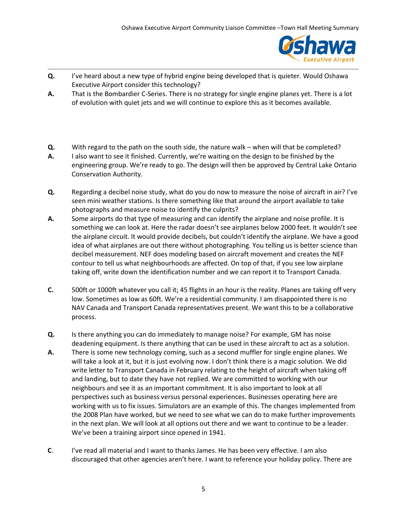

- **Q.** I've heard about a new type of hybrid engine being developed that is quieter. Would Oshawa Executive Airport consider this technology?
- **A.** That is the Bombardier C-Series. There is no strategy for single engine planes yet. There is a lot of evolution with quiet jets and we will continue to explore this as it becomes available.
- **Q.** With regard to the path on the south side, the nature walk when will that be completed?
- **A.** I also want to see it finished. Currently, we're waiting on the design to be finished by the engineering group. We're ready to go. The design will then be approved by Central Lake Ontario Conservation Authority.
- **Q.** Regarding a decibel noise study, what do you do now to measure the noise of aircraft in air? I've seen mini weather stations. Is there something like that around the airport available to take photographs and measure noise to identify the culprits?
- **A.** Some airports do that type of measuring and can identify the airplane and noise profile. It is something we can look at. Here the radar doesn't see airplanes below 2000 feet. It wouldn't see the airplane circuit. It would provide decibels, but couldn't identify the airplane. We have a good idea of what airplanes are out there without photographing. You telling us is better science than decibel measurement. NEF does modeling based on aircraft movement and creates the NEF contour to tell us what neighbourhoods are affected. On top of that, if you see low airplane taking off, write down the identification number and we can report it to Transport Canada.
- **C.** 500ft or 1000ft whatever you call it; 45 flights in an hour is the reality. Planes are taking off very low. Sometimes as low as 60ft. We're a residential community. I am disappointed there is no NAV Canada and Transport Canada representatives present. We want this to be a collaborative process.
- **Q.** Is there anything you can do immediately to manage noise? For example, GM has noise deadening equipment. Is there anything that can be used in these aircraft to act as a solution.
- **A.** There is some new technology coming, such as a second muffler for single engine planes. We will take a look at it, but it is just evolving now. I don't think there is a magic solution. We did write letter to Transport Canada in February relating to the height of aircraft when taking off and landing, but to date they have not replied. We are committed to working with our neighbours and see it as an important commitment. It is also important to look at all perspectives such as business versus personal experiences. Businesses operating here are working with us to fix issues. Simulators are an example of this. The changes implemented from the 2008 Plan have worked, but we need to see what we can do to make further improvements in the next plan. We will look at all options out there and we want to continue to be a leader. We've been a training airport since opened in 1941.
- **C**. I've read all material and I want to thanks James. He has been very effective. I am also discouraged that other agencies aren't here. I want to reference your holiday policy. There are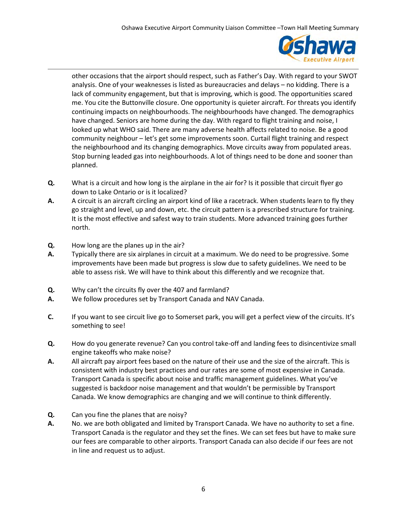

other occasions that the airport should respect, such as Father's Day. With regard to your SWOT analysis. One of your weaknesses is listed as bureaucracies and delays – no kidding. There is a lack of community engagement, but that is improving, which is good. The opportunities scared me. You cite the Buttonville closure. One opportunity is quieter aircraft. For threats you identify continuing impacts on neighbourhoods. The neighbourhoods have changed. The demographics have changed. Seniors are home during the day. With regard to flight training and noise, I looked up what WHO said. There are many adverse health affects related to noise. Be a good community neighbour – let's get some improvements soon. Curtail flight training and respect the neighbourhood and its changing demographics. Move circuits away from populated areas. Stop burning leaded gas into neighbourhoods. A lot of things need to be done and sooner than planned.

- **Q.** What is a circuit and how long is the airplane in the air for? Is it possible that circuit flyer go down to Lake Ontario or is it localized?
- **A.** A circuit is an aircraft circling an airport kind of like a racetrack. When students learn to fly they go straight and level, up and down, etc. the circuit pattern is a prescribed structure for training. It is the most effective and safest way to train students. More advanced training goes further north.
- **Q.** How long are the planes up in the air?
- **A.** Typically there are six airplanes in circuit at a maximum. We do need to be progressive. Some improvements have been made but progress is slow due to safety guidelines. We need to be able to assess risk. We will have to think about this differently and we recognize that.
- **Q.** Why can't the circuits fly over the 407 and farmland?
- **A.** We follow procedures set by Transport Canada and NAV Canada.
- **C.** If you want to see circuit live go to Somerset park, you will get a perfect view of the circuits. It's something to see!
- **Q.** How do you generate revenue? Can you control take-off and landing fees to disincentivize small engine takeoffs who make noise?
- **A.** All aircraft pay airport fees based on the nature of their use and the size of the aircraft. This is consistent with industry best practices and our rates are some of most expensive in Canada. Transport Canada is specific about noise and traffic management guidelines. What you've suggested is backdoor noise management and that wouldn't be permissible by Transport Canada. We know demographics are changing and we will continue to think differently.
- **Q.** Can you fine the planes that are noisy?
- **A.** No. we are both obligated and limited by Transport Canada. We have no authority to set a fine. Transport Canada is the regulator and they set the fines. We can set fees but have to make sure our fees are comparable to other airports. Transport Canada can also decide if our fees are not in line and request us to adjust.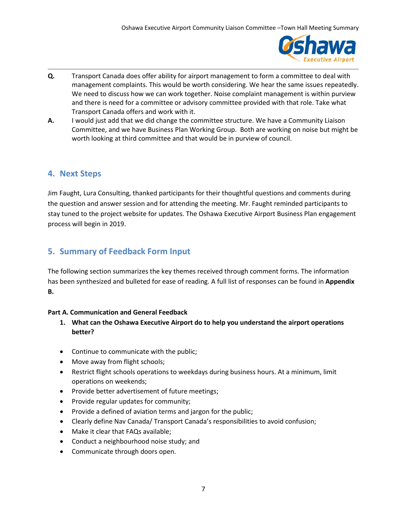

- **Q.** Transport Canada does offer ability for airport management to form a committee to deal with management complaints. This would be worth considering. We hear the same issues repeatedly. We need to discuss how we can work together. Noise complaint management is within purview and there is need for a committee or advisory committee provided with that role. Take what Transport Canada offers and work with it.
- **A.** I would just add that we did change the committee structure. We have a Community Liaison Committee, and we have Business Plan Working Group. Both are working on noise but might be worth looking at third committee and that would be in purview of council.

## <span id="page-8-0"></span>**4. Next Steps**

Jim Faught, Lura Consulting, thanked participants for their thoughtful questions and comments during the question and answer session and for attending the meeting. Mr. Faught reminded participants to stay tuned to the project website for updates. The Oshawa Executive Airport Business Plan engagement process will begin in 2019.

## <span id="page-8-1"></span>**5. Summary of Feedback Form Input**

The following section summarizes the key themes received through comment forms. The information has been synthesized and bulleted for ease of reading. A full list of responses can be found in **Appendix B.**

## **Part A. Communication and General Feedback**

- **1. What can the Oshawa Executive Airport do to help you understand the airport operations better?**
- Continue to communicate with the public;
- Move away from flight schools;
- Restrict flight schools operations to weekdays during business hours. At a minimum, limit operations on weekends;
- Provide better advertisement of future meetings;
- Provide regular updates for community;
- Provide a defined of aviation terms and jargon for the public;
- Clearly define Nav Canada/ Transport Canada's responsibilities to avoid confusion;
- Make it clear that FAQs available;
- Conduct a neighbourhood noise study; and
- Communicate through doors open.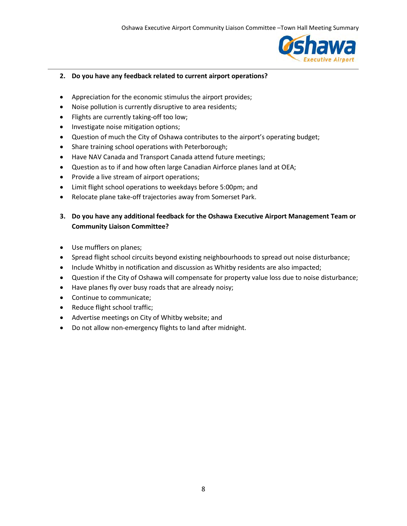

#### **2. Do you have any feedback related to current airport operations?**

- Appreciation for the economic stimulus the airport provides;
- Noise pollution is currently disruptive to area residents;
- Flights are currently taking-off too low;
- Investigate noise mitigation options;
- Question of much the City of Oshawa contributes to the airport's operating budget;
- Share training school operations with Peterborough;
- Have NAV Canada and Transport Canada attend future meetings;
- Question as to if and how often large Canadian Airforce planes land at OEA;
- Provide a live stream of airport operations;
- Limit flight school operations to weekdays before 5:00pm; and
- Relocate plane take-off trajectories away from Somerset Park.

## **3. Do you have any additional feedback for the Oshawa Executive Airport Management Team or Community Liaison Committee?**

- Use mufflers on planes;
- Spread flight school circuits beyond existing neighbourhoods to spread out noise disturbance;
- Include Whitby in notification and discussion as Whitby residents are also impacted;
- Question if the City of Oshawa will compensate for property value loss due to noise disturbance;
- Have planes fly over busy roads that are already noisy;
- Continue to communicate;
- Reduce flight school traffic;
- Advertise meetings on City of Whitby website; and
- Do not allow non-emergency flights to land after midnight.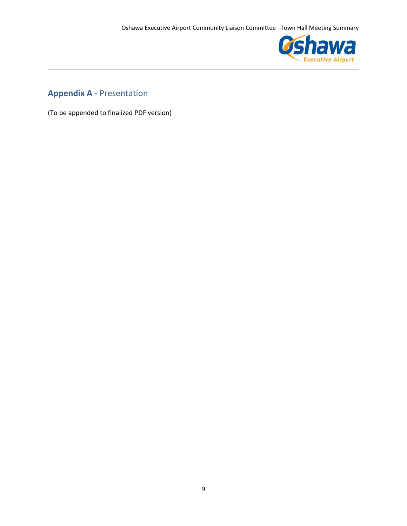

## <span id="page-10-0"></span>**Appendix A -** Presentation

(To be appended to finalized PDF version)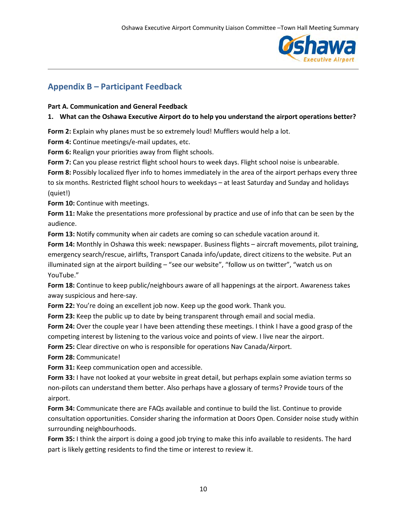

## <span id="page-11-0"></span>**Appendix B – Participant Feedback**

### **Part A. Communication and General Feedback**

## **1. What can the Oshawa Executive Airport do to help you understand the airport operations better?**

**Form 2:** Explain why planes must be so extremely loud! Mufflers would help a lot.

**Form 4:** Continue meetings/e-mail updates, etc.

**Form 6:** Realign your priorities away from flight schools.

**Form 7:** Can you please restrict flight school hours to week days. Flight school noise is unbearable.

**Form 8:** Possibly localized flyer info to homes immediately in the area of the airport perhaps every three to six months. Restricted flight school hours to weekdays – at least Saturday and Sunday and holidays (quiet!)

**Form 10:** Continue with meetings.

**Form 11:** Make the presentations more professional by practice and use of info that can be seen by the audience.

**Form 13:** Notify community when air cadets are coming so can schedule vacation around it.

**Form 14:** Monthly in Oshawa this week: newspaper. Business flights – aircraft movements, pilot training, emergency search/rescue, airlifts, Transport Canada info/update, direct citizens to the website. Put an illuminated sign at the airport building – "see our website", "follow us on twitter", "watch us on YouTube."

**Form 18:** Continue to keep public/neighbours aware of all happenings at the airport. Awareness takes away suspicious and here-say.

**Form 22:** You're doing an excellent job now. Keep up the good work. Thank you.

**Form 23:** Keep the public up to date by being transparent through email and social media.

Form 24: Over the couple year I have been attending these meetings. I think I have a good grasp of the competing interest by listening to the various voice and points of view. I live near the airport.

**Form 25:** Clear directive on who is responsible for operations Nav Canada/Airport.

**Form 28:** Communicate!

**Form 31:** Keep communication open and accessible.

**Form 33:** I have not looked at your website in great detail, but perhaps explain some aviation terms so non-pilots can understand them better. Also perhaps have a glossary of terms? Provide tours of the airport.

**Form 34:** Communicate there are FAQs available and continue to build the list. Continue to provide consultation opportunities. Consider sharing the information at Doors Open. Consider noise study within surrounding neighbourhoods.

**Form 35:** I think the airport is doing a good job trying to make this info available to residents. The hard part is likely getting residents to find the time or interest to review it.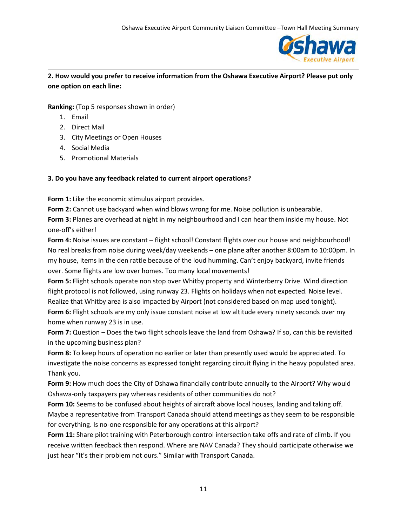

## **2. How would you prefer to receive information from the Oshawa Executive Airport? Please put only one option on each line:**

**Ranking:** (Top 5 responses shown in order)

- 1. Email
- 2. Direct Mail
- 3. City Meetings or Open Houses
- 4. Social Media
- 5. Promotional Materials

## **3. Do you have any feedback related to current airport operations?**

**Form 1:** Like the economic stimulus airport provides.

**Form 2:** Cannot use backyard when wind blows wrong for me. Noise pollution is unbearable.

**Form 3:** Planes are overhead at night in my neighbourhood and I can hear them inside my house. Not one-off's either!

**Form 4:** Noise issues are constant – flight school! Constant flights over our house and neighbourhood! No real breaks from noise during week/day weekends – one plane after another 8:00am to 10:00pm. In my house, items in the den rattle because of the loud humming. Can't enjoy backyard, invite friends over. Some flights are low over homes. Too many local movements!

**Form 5:** Flight schools operate non stop over Whitby property and Winterberry Drive. Wind direction flight protocol is not followed, using runway 23. Flights on holidays when not expected. Noise level. Realize that Whitby area is also impacted by Airport (not considered based on map used tonight).

**Form 6:** Flight schools are my only issue constant noise at low altitude every ninety seconds over my home when runway 23 is in use.

**Form 7:** Question – Does the two flight schools leave the land from Oshawa? If so, can this be revisited in the upcoming business plan?

**Form 8:** To keep hours of operation no earlier or later than presently used would be appreciated. To investigate the noise concerns as expressed tonight regarding circuit flying in the heavy populated area. Thank you.

**Form 9:** How much does the City of Oshawa financially contribute annually to the Airport? Why would Oshawa-only taxpayers pay whereas residents of other communities do not?

**Form 10:** Seems to be confused about heights of aircraft above local houses, landing and taking off. Maybe a representative from Transport Canada should attend meetings as they seem to be responsible for everything. Is no-one responsible for any operations at this airport?

Form 11: Share pilot training with Peterborough control intersection take offs and rate of climb. If you receive written feedback then respond. Where are NAV Canada? They should participate otherwise we just hear "It's their problem not ours." Similar with Transport Canada.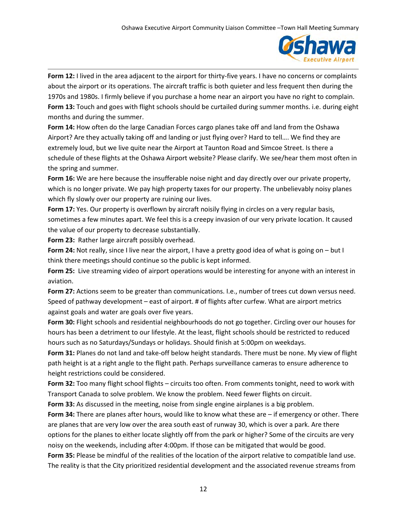

**Form 12:** I lived in the area adjacent to the airport for thirty-five years. I have no concerns or complaints about the airport or its operations. The aircraft traffic is both quieter and less frequent then during the 1970s and 1980s. I firmly believe if you purchase a home near an airport you have no right to complain. **Form 13:** Touch and goes with flight schools should be curtailed during summer months. i.e. during eight months and during the summer.

**Form 14:** How often do the large Canadian Forces cargo planes take off and land from the Oshawa Airport? Are they actually taking off and landing or just flying over? Hard to tell…. We find they are extremely loud, but we live quite near the Airport at Taunton Road and Simcoe Street. Is there a schedule of these flights at the Oshawa Airport website? Please clarify. We see/hear them most often in the spring and summer.

**Form 16:** We are here because the insufferable noise night and day directly over our private property, which is no longer private. We pay high property taxes for our property. The unbelievably noisy planes which fly slowly over our property are ruining our lives.

**Form 17:** Yes. Our property is overflown by aircraft noisily flying in circles on a very regular basis, sometimes a few minutes apart. We feel this is a creepy invasion of our very private location. It caused the value of our property to decrease substantially.

**Form 23:** Rather large aircraft possibly overhead.

**Form 24:** Not really, since I live near the airport, I have a pretty good idea of what is going on – but I think there meetings should continue so the public is kept informed.

**Form 25:** Live streaming video of airport operations would be interesting for anyone with an interest in aviation.

**Form 27:** Actions seem to be greater than communications. I.e., number of trees cut down versus need. Speed of pathway development – east of airport. # of flights after curfew. What are airport metrics against goals and water are goals over five years.

**Form 30:** Flight schools and residential neighbourhoods do not go together. Circling over our houses for hours has been a detriment to our lifestyle. At the least, flight schools should be restricted to reduced hours such as no Saturdays/Sundays or holidays. Should finish at 5:00pm on weekdays.

**Form 31:** Planes do not land and take-off below height standards. There must be none. My view of flight path height is at a right angle to the flight path. Perhaps surveillance cameras to ensure adherence to height restrictions could be considered.

**Form 32:** Too many flight school flights – circuits too often. From comments tonight, need to work with Transport Canada to solve problem. We know the problem. Need fewer flights on circuit.

**Form 33:** As discussed in the meeting, noise from single engine airplanes is a big problem.

**Form 34:** There are planes after hours, would like to know what these are – if emergency or other. There are planes that are very low over the area south east of runway 30, which is over a park. Are there options for the planes to either locate slightly off from the park or higher? Some of the circuits are very noisy on the weekends, including after 4:00pm. If those can be mitigated that would be good.

**Form 35:** Please be mindful of the realities of the location of the airport relative to compatible land use. The reality is that the City prioritized residential development and the associated revenue streams from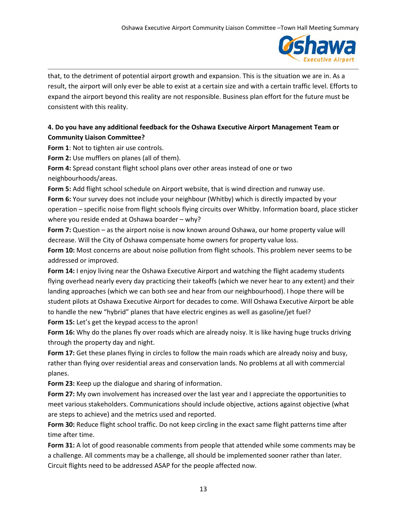

that, to the detriment of potential airport growth and expansion. This is the situation we are in. As a result, the airport will only ever be able to exist at a certain size and with a certain traffic level. Efforts to expand the airport beyond this reality are not responsible. Business plan effort for the future must be consistent with this reality.

## **4. Do you have any additional feedback for the Oshawa Executive Airport Management Team or Community Liaison Committee?**

**Form 1**: Not to tighten air use controls.

**Form 2:** Use mufflers on planes (all of them).

**Form 4:** Spread constant flight school plans over other areas instead of one or two neighbourhoods/areas.

**Form 5:** Add flight school schedule on Airport website, that is wind direction and runway use. **Form 6:** Your survey does not include your neighbour (Whitby) which is directly impacted by your operation – specific noise from flight schools flying circuits over Whitby. Information board, place sticker where you reside ended at Oshawa boarder – why?

**Form 7:** Question – as the airport noise is now known around Oshawa, our home property value will decrease. Will the City of Oshawa compensate home owners for property value loss.

**Form 10:** Most concerns are about noise pollution from flight schools. This problem never seems to be addressed or improved.

**Form 14:** I enjoy living near the Oshawa Executive Airport and watching the flight academy students flying overhead nearly every day practicing their takeoffs (which we never hear to any extent) and their landing approaches (which we can both see and hear from our neighbourhood). I hope there will be student pilots at Oshawa Executive Airport for decades to come. Will Oshawa Executive Airport be able to handle the new "hybrid" planes that have electric engines as well as gasoline/jet fuel? **Form 15:** Let's get the keypad access to the apron!

**Form 16:** Why do the planes fly over roads which are already noisy. It is like having huge trucks driving through the property day and night.

**Form 17:** Get these planes flying in circles to follow the main roads which are already noisy and busy, rather than flying over residential areas and conservation lands. No problems at all with commercial planes.

**Form 23:** Keep up the dialogue and sharing of information.

**Form 27:** My own involvement has increased over the last year and I appreciate the opportunities to meet various stakeholders. Communications should include objective, actions against objective (what are steps to achieve) and the metrics used and reported.

**Form 30:** Reduce flight school traffic. Do not keep circling in the exact same flight patterns time after time after time.

Form 31: A lot of good reasonable comments from people that attended while some comments may be a challenge. All comments may be a challenge, all should be implemented sooner rather than later. Circuit flights need to be addressed ASAP for the people affected now.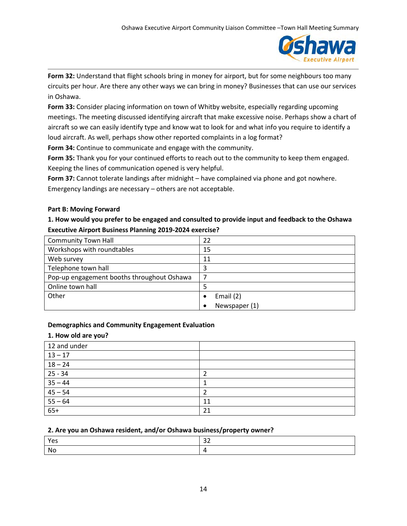

**Form 32:** Understand that flight schools bring in money for airport, but for some neighbours too many circuits per hour. Are there any other ways we can bring in money? Businesses that can use our services in Oshawa.

**Form 33:** Consider placing information on town of Whitby website, especially regarding upcoming meetings. The meeting discussed identifying aircraft that make excessive noise. Perhaps show a chart of aircraft so we can easily identify type and know wat to look for and what info you require to identify a loud aircraft. As well, perhaps show other reported complaints in a log format?

**Form 34:** Continue to communicate and engage with the community.

**Form 35:** Thank you for your continued efforts to reach out to the community to keep them engaged. Keeping the lines of communication opened is very helpful.

**Form 37:** Cannot tolerate landings after midnight – have complained via phone and got nowhere. Emergency landings are necessary – others are not acceptable.

### **Part B: Moving Forward**

## **1. How would you prefer to be engaged and consulted to provide input and feedback to the Oshawa Executive Airport Business Planning 2019-2024 exercise?**

| <b>Community Town Hall</b>                 | 22            |  |  |  |
|--------------------------------------------|---------------|--|--|--|
| Workshops with roundtables                 | 15            |  |  |  |
| Web survey                                 | 11            |  |  |  |
| Telephone town hall                        | 3             |  |  |  |
| Pop-up engagement booths throughout Oshawa |               |  |  |  |
| Online town hall                           |               |  |  |  |
| Other                                      | Email (2)     |  |  |  |
|                                            | Newspaper (1) |  |  |  |

## **Demographics and Community Engagement Evaluation**

#### **1. How old are you?**

| 12 and under          |    |
|-----------------------|----|
| $13 - 17$             |    |
| $18 - 24$             |    |
| $25 - 34$             |    |
| $\frac{35-44}{45-54}$ |    |
|                       |    |
| $55 - 64$             | 11 |
| $65+$                 | 21 |

#### **2. Are you an Oshawa resident, and/or Oshawa business/property owner?**

| Yes  | $\sim$ $\sim$<br>-- |
|------|---------------------|
| - No |                     |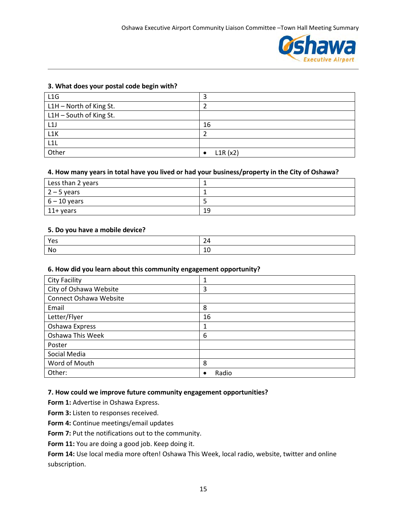

#### **3. What does your postal code begin with?**

| L1G                     | э                    |
|-------------------------|----------------------|
| L1H - North of King St. |                      |
| L1H - South of King St. |                      |
| L1J                     | 16                   |
| L1K                     |                      |
| L1L                     |                      |
| Other                   | L1R(x2)<br>$\bullet$ |

#### **4. How many years in total have you lived or had your business/property in the City of Oshawa?**

| Less than 2 years |    |
|-------------------|----|
| $12 - 5$ years    |    |
| $6 - 10$ years    |    |
| $11+$ years       | 19 |

#### **5. Do you have a mobile device?**

| л.<br>M |  |
|---------|--|

#### **6. How did you learn about this community engagement opportunity?**

| <b>City Facility</b>   | 1                  |
|------------------------|--------------------|
| City of Oshawa Website | 3                  |
| Connect Oshawa Website |                    |
| Email                  | 8                  |
| Letter/Flyer           | 16                 |
| Oshawa Express         | 1                  |
| Oshawa This Week       | 6                  |
| Poster                 |                    |
| Social Media           |                    |
| Word of Mouth          | 8                  |
| Other:                 | Radio<br>$\bullet$ |

#### **7. How could we improve future community engagement opportunities?**

**Form 1:** Advertise in Oshawa Express.

**Form 3:** Listen to responses received.

**Form 4:** Continue meetings/email updates

**Form 7:** Put the notifications out to the community.

Form 11: You are doing a good job. Keep doing it.

Form 14: Use local media more often! Oshawa This Week, local radio, website, twitter and online subscription.